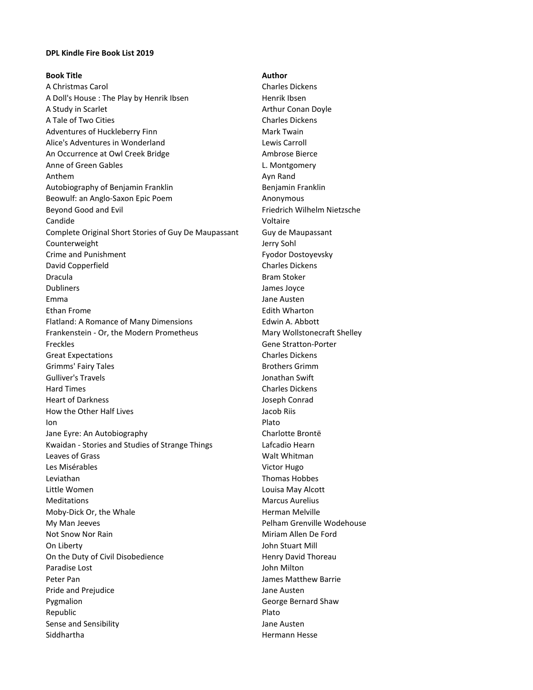## **DPL Kindle Fire Book List 2019**

## **Book Title Author**

A Christmas Carol **Charles Dickens** Charles Dickens A Doll's House : The Play by Henrik Ibsen Henrik Ibsen A Study in Scarlet Arthur Conan Doyle A Tale of Two Cities Charles Dickens Adventures of Huckleberry Finn Mark Twain Alice's Adventures in Wonderland **Lewis Carroll** Lewis Carroll An Occurrence at Owl Creek Bridge **Ambrose Bierce** Ambrose Bierce Anne of Green Gables **L. Montgomery** Anthem Ayn Rand Autobiography of Benjamin Franklin Benjamin Franklin Benjamin Franklin Beowulf: an Anglo-Saxon Epic Poem Anonymous Beyond Good and Evil **Filter Contains a Container Container Container Container Container Container Container Contains a Container Container Container Container Container Container Container Container Container Container C** Candide Voltaire Complete Original Short Stories of Guy De Maupassant Guy de Maupassant Counterweight **Counterweight Jerry Sohl** Crime and Punishment **Fyodor Dostoyevsky** David Copperfield **Charles Dickens** Charles Dickens Dracula Bram Stoker Dubliners James Joyce Emma Jane Austen Ethan Frome **Edith Wharton** Flatland: A Romance of Many Dimensions Edwin A. Abbott Frankenstein - Or, the Modern Prometheus Mary Wollstonecraft Shelley Freckles Gene Stratton-Porter Great Expectations **Charles Dickens** Charles Dickens Grimms' Fairy Tales **Brothers Grimm** Gulliver's Travels **Gulliver's Travels** Hard Times **Charles Dickens** Heart of Darkness Joseph Conrad How the Other Half Lives **Access 12 and Accept Access** Jacob Riis Ion Plato Jane Eyre: An Autobiography Charlotte Brontë Kwaidan - Stories and Studies of Strange Things **Lafcadio Hearn** Leaves of Grass North Communications and Market Walt Whitman Les Misérables Victor Hugo Leviathan Thomas Hobbes Little Women Louisa May Alcott Meditations Marcus Aurelius Moby-Dick Or, the Whale **Herman Melville Herman Melville** My Man Jeeves **Pelham Grenville Wodehouse** Not Snow Nor Rain Miriam Allen De Ford On Liberty John Stuart Mill On the Duty of Civil Disobedience **Henry David Thoreau** Paradise Lost **John Milton** Peter Pan James Matthew Barrie Pride and Prejudice **Australian Executive Contract Australian** Jane Austen Pygmalion George Bernard Shaw Republic Plato Sense and Sensibility **Sense and Sensibility** Jane Austen Siddhartha Hermann Hesse